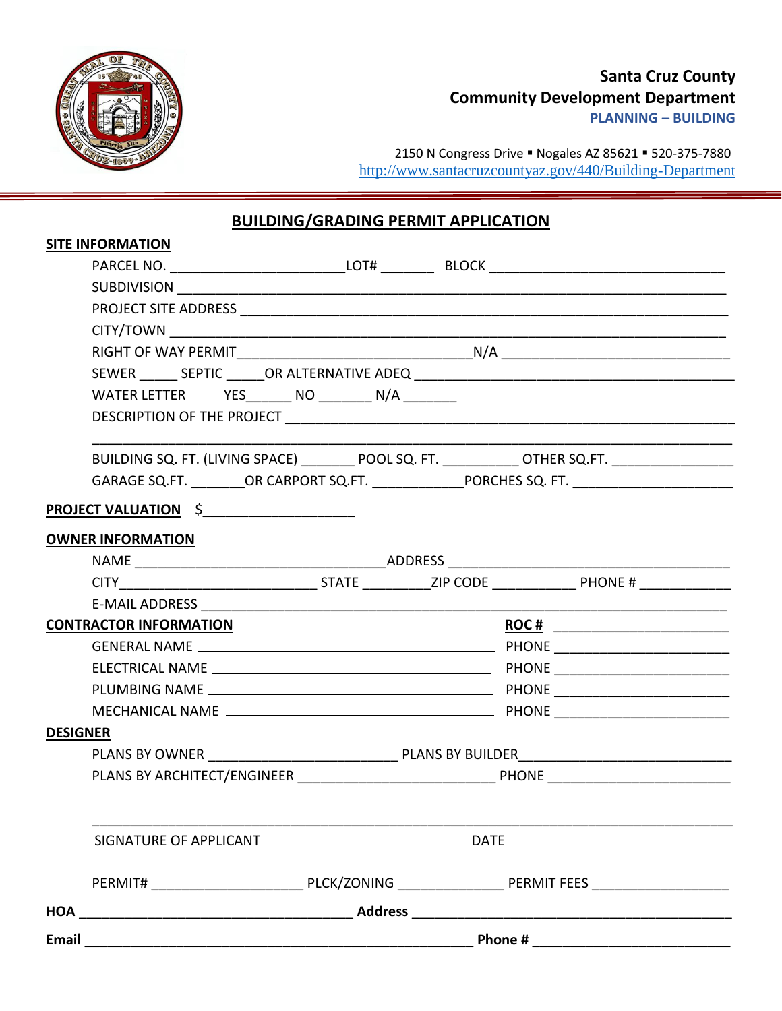

## **Santa Cruz County Community Development Department**

**PLANNING – BUILDING**

2150 N Congress Drive · Nogales AZ 85621 · 520-375-7880 <http://www.santacruzcountyaz.gov/440/Building-Department>

## **BUILDING/GRADING PERMIT APPLICATION**

| Email           |                                                    |  |  |                                                                                                     |
|-----------------|----------------------------------------------------|--|--|-----------------------------------------------------------------------------------------------------|
|                 |                                                    |  |  |                                                                                                     |
|                 |                                                    |  |  |                                                                                                     |
|                 | <b>DATE</b><br>SIGNATURE OF APPLICANT              |  |  |                                                                                                     |
|                 |                                                    |  |  |                                                                                                     |
|                 |                                                    |  |  |                                                                                                     |
| <b>DESIGNER</b> |                                                    |  |  |                                                                                                     |
|                 |                                                    |  |  |                                                                                                     |
|                 |                                                    |  |  |                                                                                                     |
|                 |                                                    |  |  |                                                                                                     |
|                 |                                                    |  |  |                                                                                                     |
|                 | <b>CONTRACTOR INFORMATION</b>                      |  |  | ROC # __________________________                                                                    |
|                 |                                                    |  |  |                                                                                                     |
|                 |                                                    |  |  |                                                                                                     |
|                 | <b>OWNER INFORMATION</b>                           |  |  |                                                                                                     |
|                 | PROJECT VALUATION \$                               |  |  |                                                                                                     |
|                 |                                                    |  |  |                                                                                                     |
|                 |                                                    |  |  | GARAGE SQ.FT. _________OR CARPORT SQ.FT. ________________PORCHES SQ. FT. __________________________ |
|                 |                                                    |  |  | BUILDING SQ. FT. (LIVING SPACE) _________ POOL SQ. FT. ___________ OTHER SQ.FT. ___________________ |
|                 |                                                    |  |  |                                                                                                     |
|                 | WATER LETTER YES________ NO _________ N/A ________ |  |  |                                                                                                     |
|                 |                                                    |  |  |                                                                                                     |
|                 |                                                    |  |  |                                                                                                     |
|                 |                                                    |  |  |                                                                                                     |
|                 |                                                    |  |  |                                                                                                     |
|                 |                                                    |  |  |                                                                                                     |
|                 |                                                    |  |  |                                                                                                     |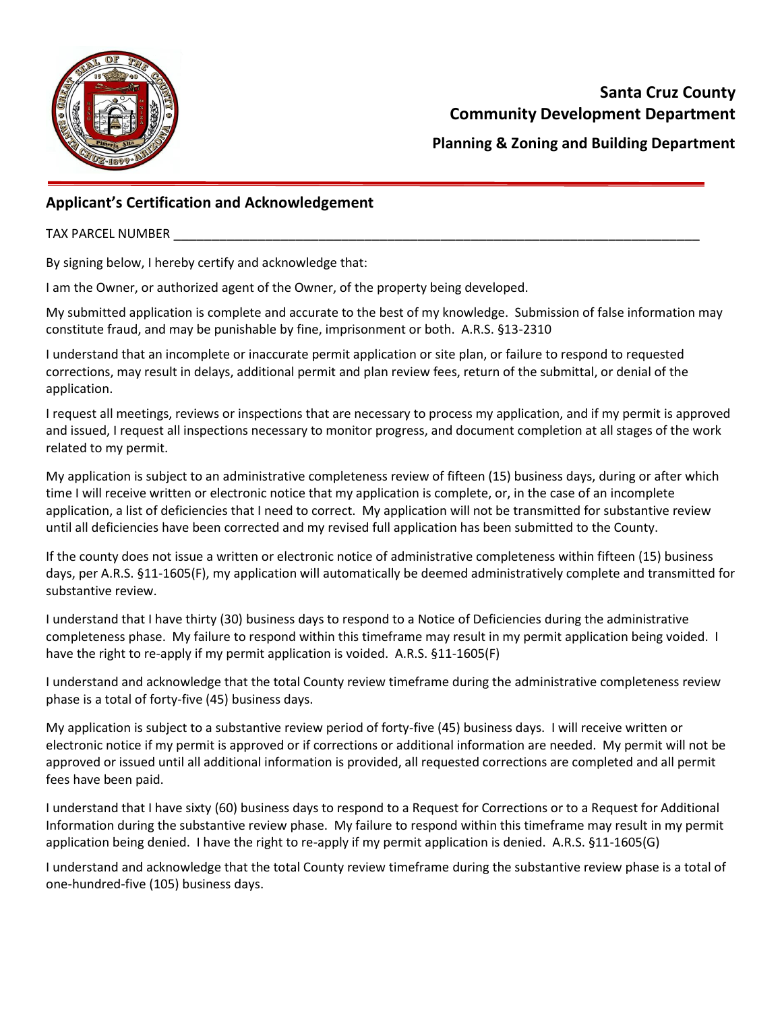

**Planning & Zoning and Building Department**

## **Applicant's Certification and Acknowledgement**

TAX PARCEL NUMBER

By signing below, I hereby certify and acknowledge that:

I am the Owner, or authorized agent of the Owner, of the property being developed.

My submitted application is complete and accurate to the best of my knowledge. Submission of false information may constitute fraud, and may be punishable by fine, imprisonment or both. A.R.S. §13-2310

I understand that an incomplete or inaccurate permit application or site plan, or failure to respond to requested corrections, may result in delays, additional permit and plan review fees, return of the submittal, or denial of the application.

I request all meetings, reviews or inspections that are necessary to process my application, and if my permit is approved and issued, I request all inspections necessary to monitor progress, and document completion at all stages of the work related to my permit.

My application is subject to an administrative completeness review of fifteen (15) business days, during or after which time I will receive written or electronic notice that my application is complete, or, in the case of an incomplete application, a list of deficiencies that I need to correct. My application will not be transmitted for substantive review until all deficiencies have been corrected and my revised full application has been submitted to the County.

If the county does not issue a written or electronic notice of administrative completeness within fifteen (15) business days, per A.R.S. §11-1605(F), my application will automatically be deemed administratively complete and transmitted for substantive review.

I understand that I have thirty (30) business days to respond to a Notice of Deficiencies during the administrative completeness phase. My failure to respond within this timeframe may result in my permit application being voided. I have the right to re-apply if my permit application is voided. A.R.S. §11-1605(F)

I understand and acknowledge that the total County review timeframe during the administrative completeness review phase is a total of forty-five (45) business days.

My application is subject to a substantive review period of forty-five (45) business days. I will receive written or electronic notice if my permit is approved or if corrections or additional information are needed. My permit will not be approved or issued until all additional information is provided, all requested corrections are completed and all permit fees have been paid.

I understand that I have sixty (60) business days to respond to a Request for Corrections or to a Request for Additional Information during the substantive review phase. My failure to respond within this timeframe may result in my permit application being denied. I have the right to re-apply if my permit application is denied. A.R.S. §11-1605(G)

I understand and acknowledge that the total County review timeframe during the substantive review phase is a total of one-hundred-five (105) business days.